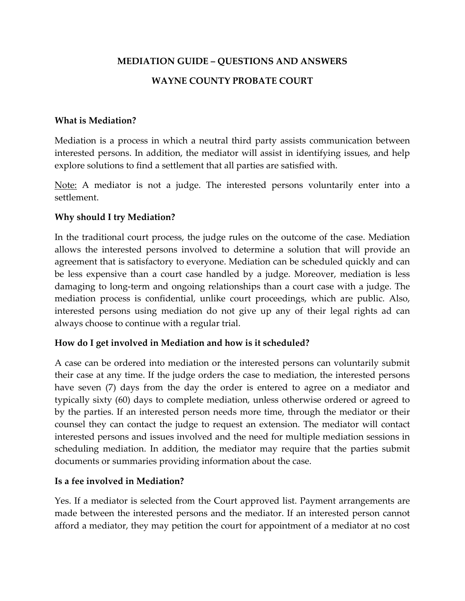# **MEDIATION GUIDE – QUESTIONS AND ANSWERS**

# **WAYNE COUNTY PROBATE COURT**

#### **What is Mediation?**

Mediation is a process in which a neutral third party assists communication between interested persons. In addition, the mediator will assist in identifying issues, and help explore solutions to find a settlement that all parties are satisfied with.

Note: A mediator is not a judge. The interested persons voluntarily enter into a settlement.

### **Why should I try Mediation?**

In the traditional court process, the judge rules on the outcome of the case. Mediation allows the interested persons involved to determine a solution that will provide an agreement that is satisfactory to everyone. Mediation can be scheduled quickly and can be less expensive than a court case handled by a judge. Moreover, mediation is less damaging to long-term and ongoing relationships than a court case with a judge. The mediation process is confidential, unlike court proceedings, which are public. Also, interested persons using mediation do not give up any of their legal rights ad can always choose to continue with a regular trial.

### **How do I get involved in Mediation and how is it scheduled?**

A case can be ordered into mediation or the interested persons can voluntarily submit their case at any time. If the judge orders the case to mediation, the interested persons have seven (7) days from the day the order is entered to agree on a mediator and typically sixty (60) days to complete mediation, unless otherwise ordered or agreed to by the parties. If an interested person needs more time, through the mediator or their counsel they can contact the judge to request an extension. The mediator will contact interested persons and issues involved and the need for multiple mediation sessions in scheduling mediation. In addition, the mediator may require that the parties submit documents or summaries providing information about the case.

### **Is a fee involved in Mediation?**

Yes. If a mediator is selected from the Court approved list. Payment arrangements are made between the interested persons and the mediator. If an interested person cannot afford a mediator, they may petition the court for appointment of a mediator at no cost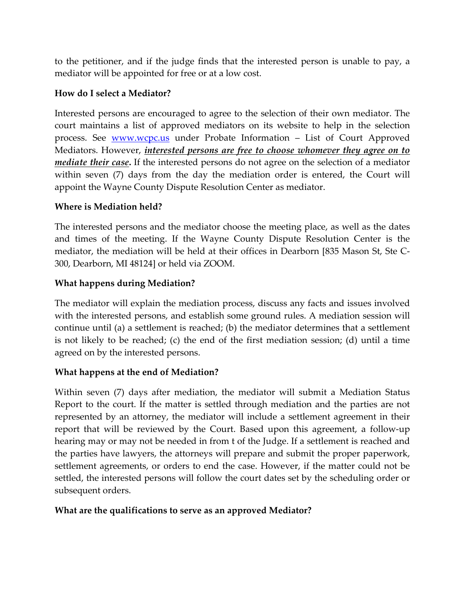to the petitioner, and if the judge finds that the interested person is unable to pay, a mediator will be appointed for free or at a low cost.

# **How do I select a Mediator?**

Interested persons are encouraged to agree to the selection of their own mediator. The court maintains a list of approved mediators on its website to help in the selection process. See **WWW.WCPC.us** under Probate Information - List of Court Approved Mediators. However, *interested persons are free to choose whomever they agree on to mediate their case***.** If the interested persons do not agree on the selection of a mediator within seven (7) days from the day the mediation order is entered, the Court will appoint the Wayne County Dispute Resolution Center as mediator.

## **Where is Mediation held?**

The interested persons and the mediator choose the meeting place, as well as the dates and times of the meeting. If the Wayne County Dispute Resolution Center is the mediator, the mediation will be held at their offices in Dearborn [835 Mason St, Ste C-300, Dearborn, MI 48124] or held via ZOOM.

## **What happens during Mediation?**

The mediator will explain the mediation process, discuss any facts and issues involved with the interested persons, and establish some ground rules. A mediation session will continue until (a) a settlement is reached; (b) the mediator determines that a settlement is not likely to be reached; (c) the end of the first mediation session; (d) until a time agreed on by the interested persons.

# **What happens at the end of Mediation?**

Within seven (7) days after mediation, the mediator will submit a Mediation Status Report to the court. If the matter is settled through mediation and the parties are not represented by an attorney, the mediator will include a settlement agreement in their report that will be reviewed by the Court. Based upon this agreement, a follow-up hearing may or may not be needed in from t of the Judge. If a settlement is reached and the parties have lawyers, the attorneys will prepare and submit the proper paperwork, settlement agreements, or orders to end the case. However, if the matter could not be settled, the interested persons will follow the court dates set by the scheduling order or subsequent orders.

### **What are the qualifications to serve as an approved Mediator?**